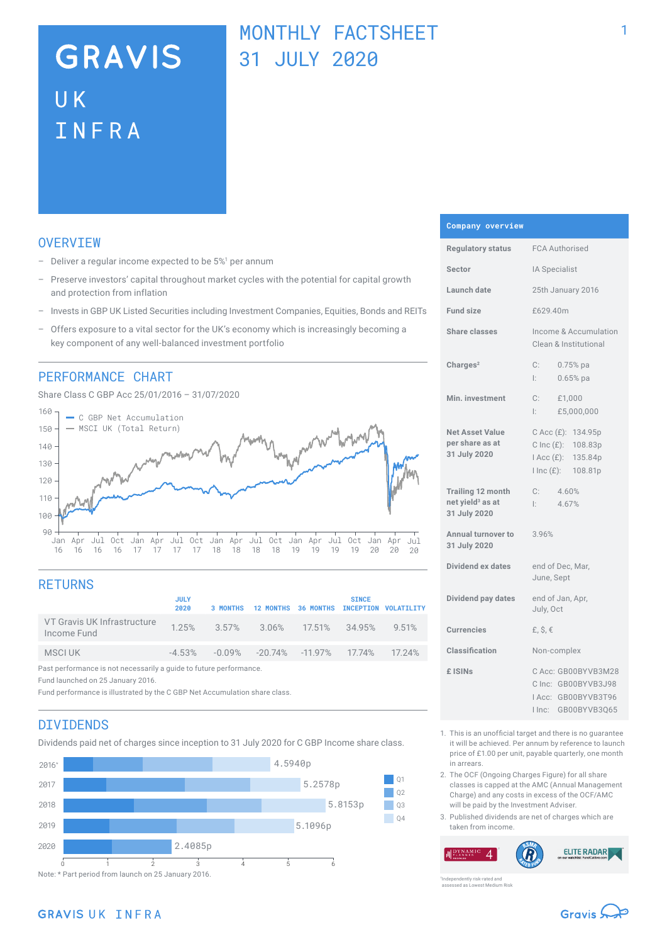# **GRAVIS** UK INFRA

# MONTHLY FACTSHEET 31 JULY 2020

## **OVERVTEW**

- $-$  Deliver a regular income expected to be  $5\%$ <sup>1</sup> per annum
- Preserve investors' capital throughout market cycles with the potential for capital growth and protection from inflation
- Invests in GBP UK Listed Securities including Investment Companies, Equities, Bonds and REITs
- Offers exposure to a vital sector for the UK's economy which is increasingly becoming a key component of any well-balanced investment portfolio

## PERFORMANCE CHART

Share Class C GBP Acc 25/01/2016 – 31/07/2020



# **RETURNS**

|                                                                    | <b>JULY</b><br>2020 | 3 MONTHS | 12 MONTHS 36 MONTHS INCEPTION VOLATILITY                      |  | <b>SINCE</b> |       |
|--------------------------------------------------------------------|---------------------|----------|---------------------------------------------------------------|--|--------------|-------|
| VT Gravis UK Infrastructure<br>Income Fund                         |                     |          | 1.25% 3.57% 3.06% 17.51% 34.95%                               |  |              | 9.51% |
| MSCI UK                                                            |                     |          | $-4.53\%$ $-0.09\%$ $-20.74\%$ $-11.97\%$ $17.74\%$ $17.24\%$ |  |              |       |
| Past performance is not necessarily a guide to future performance. |                     |          |                                                               |  |              |       |

Fund launched on 25 January 2016.

Fund performance is illustrated by the C GBP Net Accumulation share class.

## DIVIDENDS

Dividends paid net of charges since inception to 31 July 2020 for C GBP Income share class.



#### **Company overview**

| <b>Regulatory status</b>                                                 | <b>FCA Authorised</b>                                                                      |  |  |
|--------------------------------------------------------------------------|--------------------------------------------------------------------------------------------|--|--|
| Sector                                                                   | IA Specialist                                                                              |  |  |
| Launch date                                                              | 25th January 2016                                                                          |  |  |
| Fund size                                                                | £629.40m                                                                                   |  |  |
| Share classes                                                            | Income & Accumulation<br>Clean & Institutional                                             |  |  |
| Charles <sup>2</sup>                                                     | C:<br>$0.75%$ pa<br>$0.65%$ pa<br>Ŀ.                                                       |  |  |
| Min. investment                                                          | $C:$ £1,000<br>I: E5,000,000                                                               |  |  |
| <b>Net Asset Value</b><br>per share as at<br>31 July 2020                | C Acc (£): 134.95p<br>C Inc (£): 108.83p<br>$Acc(E)$ :<br>135.84p<br>I Inc (£): 108.81p    |  |  |
| <b>Trailing 12 month</b><br>net yield <sup>3</sup> as at<br>31 July 2020 | C:<br>4.60%<br>4.67%<br>Ŀ.                                                                 |  |  |
| Annual turnover to<br>31 July 2020                                       | 3.96%                                                                                      |  |  |
| Dividend ex dates                                                        | end of Dec, Mar,<br>June, Sept                                                             |  |  |
| Dividend pay dates                                                       | end of Jan, Apr,<br>July, Oct                                                              |  |  |
| <b>Currencies</b>                                                        | £, $\hat{S}$ , $\in$                                                                       |  |  |
| Classification                                                           | Non-complex                                                                                |  |  |
| £ ISIN <sub>S</sub>                                                      | C Acc: GB00BYVB3M28<br>C Inc: GB00BYVB3J98<br>IAcc: GB00BYVB3T96<br>GB00BYVB3Q65<br>I Inc: |  |  |

- 1. This is an unofficial target and there is no guarantee it will be achieved. Per annum by reference to launch price of £1.00 per unit, payable quarterly, one month in arrears.
- 2. The OCF (Ongoing Charges Figure) for all share classes is capped at the AMC (Annual Management Charge) and any costs in excess of the OCF/AMC will be paid by the Investment Adviser.
- 3. Published dividends are net of charges which are taken from income.

**ELITE RADAR**  $\boldsymbol{\varDelta}$ 

ently risk-rated and assessed as Lowest Medium Risk

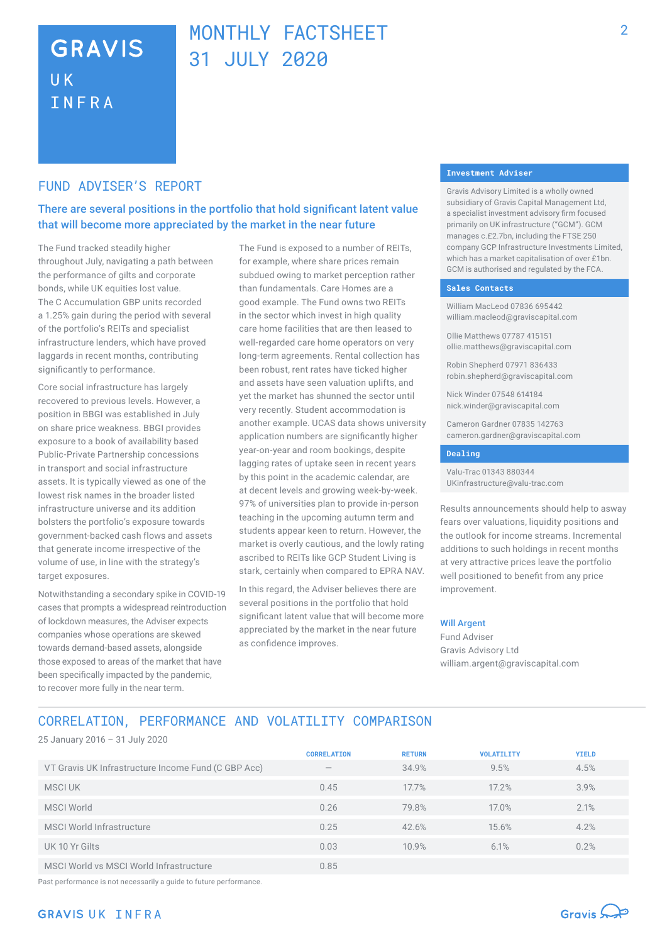# **GRAVIS UK** INFRA

# MONTHLY FACTSHEFT 31 JULY 2020

## FUND ADVISER'S REPORT

## There are several positions in the portfolio that hold significant latent value that will become more appreciated by the market in the near future

The Fund tracked steadily higher throughout July, navigating a path between the performance of gilts and corporate bonds, while UK equities lost value. The C Accumulation GBP units recorded a 1.25% gain during the period with several of the portfolio's REITs and specialist infrastructure lenders, which have proved laggards in recent months, contributing significantly to performance.

Core social infrastructure has largely recovered to previous levels. However, a position in BBGI was established in July on share price weakness. BBGI provides exposure to a book of availability based Public-Private Partnership concessions in transport and social infrastructure assets. It is typically viewed as one of the lowest risk names in the broader listed infrastructure universe and its addition bolsters the portfolio's exposure towards government-backed cash flows and assets that generate income irrespective of the volume of use, in line with the strategy's target exposures.

Notwithstanding a secondary spike in COVID-19 cases that prompts a widespread reintroduction of lockdown measures, the Adviser expects companies whose operations are skewed towards demand-based assets, alongside those exposed to areas of the market that have been specifically impacted by the pandemic, to recover more fully in the near term.

The Fund is exposed to a number of REITs, for example, where share prices remain subdued owing to market perception rather than fundamentals. Care Homes are a good example. The Fund owns two REITs in the sector which invest in high quality care home facilities that are then leased to well-regarded care home operators on very long-term agreements. Rental collection has been robust, rent rates have ticked higher and assets have seen valuation uplifts, and yet the market has shunned the sector until very recently. Student accommodation is another example. UCAS data shows university application numbers are significantly higher year-on-year and room bookings, despite lagging rates of uptake seen in recent years by this point in the academic calendar, are at decent levels and growing week-by-week. 97% of universities plan to provide in-person teaching in the upcoming autumn term and students appear keen to return. However, the market is overly cautious, and the lowly rating ascribed to REITs like GCP Student Living is stark, certainly when compared to EPRA NAV.

In this regard, the Adviser believes there are several positions in the portfolio that hold significant latent value that will become more appreciated by the market in the near future as confidence improves.

#### **Investment Adviser**

Gravis Advisory Limited is a wholly owned subsidiary of Gravis Capital Management Ltd, a specialist investment advisory firm focused primarily on UK infrastructure ("GCM"). GCM manages c.£2.7bn, including the FTSE 250 company GCP Infrastructure Investments Limited, which has a market capitalisation of over £1bn. GCM is authorised and regulated by the FCA.

#### **Sales Contacts**

William MacLeod 07836 695442 william.macleod@graviscapital.com

Ollie Matthews 07787 415151 ollie.matthews@graviscapital.com

Robin Shepherd 07971 836433 robin.shepherd@graviscapital.com

Nick Winder 07548 614184 nick.winder@graviscapital.com

Cameron Gardner 07835 142763 cameron.gardner@graviscapital.com

#### **Dealing**

Valu-Trac 01343 880344 UKinfrastructure@valu-trac.com

Results announcements should help to asway fears over valuations, liquidity positions and the outlook for income streams. Incremental additions to such holdings in recent months at very attractive prices leave the portfolio well positioned to benefit from any price improvement.

#### Will Argent

Fund Adviser Gravis Advisory Ltd william.argent@graviscapital.com

# CORRELATION, PERFORMANCE AND VOLATILITY COMPARISON

25 January 2016 – 31 July 2020

|                                                     | <b>CORRELATION</b>       | <b>RETURN</b> | <b>VOLATILITY</b> | <b>YIELD</b> |
|-----------------------------------------------------|--------------------------|---------------|-------------------|--------------|
| VT Gravis UK Infrastructure Income Fund (C GBP Acc) | $\overline{\phantom{a}}$ | 34.9%         | 9.5%              | 4.5%         |
| MSCI UK                                             | 0.45                     | 17.7%         | 17.2%             | 3.9%         |
| <b>MSCI World</b>                                   | 0.26                     | 79.8%         | 17.0%             | 2.1%         |
| MSCI World Infrastructure                           | 0.25                     | 42.6%         | 15.6%             | 4.2%         |
| UK 10 Yr Gilts                                      | 0.03                     | 10.9%         | 6.1%              | 0.2%         |
| MSCI World vs MSCI World Infrastructure             | 0.85                     |               |                   |              |

Past performance is not necessarily a guide to future performance.